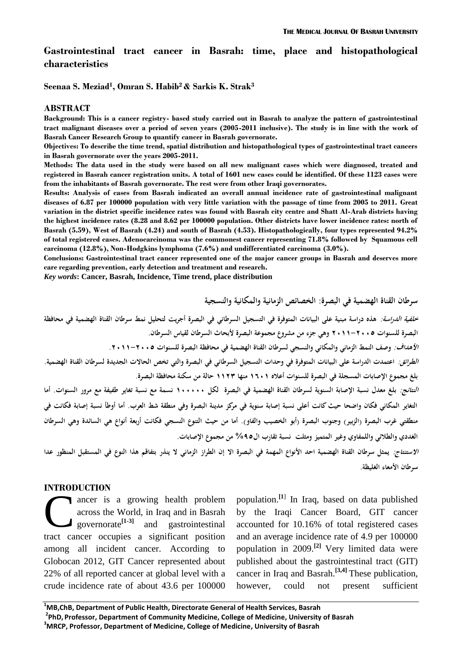# **Gastrointestinal tract cancer in Basrah: time, place and histopathological characteristics**

**Seenaa S. Meziad<sup>1</sup> , Omran S. Habib<sup>2</sup> & Sarkis K. Strak<sup>3</sup>**

#### **ABSTRACT**

**Background: This is a cancer registry- based study carried out in Basrah to analyze the pattern of gastrointestinal tract malignant diseases over a period of seven years (2005-2011 inclusive). The study is in line with the work of Basrah Cancer Research Group to quantify cancer in Basrah governorate.**

**Objectives: To describe the time trend, spatial distribution and histopathological types of gastrointestinal tract cancers in Basrah governorate over the years 2005-2011.**

**Methods: The data used in the study were based on all new malignant cases which were diagnosed, treated and registered in Basrah cancer registration units. A total of 1601 new cases could be identified. Of these 1123 cases were from the inhabitants of Basrah governorate. The rest were from other Iraqi governorates.**

**Results: Analysis of cases from Basrah indicated an overall annual incidence rate of gastrointestinal malignant diseases of 6.87 per 100000 population with very little variation with the passage of time from 2005 to 2011. Great variation in the district specific incidence rates was found with Basrah city centre and Shatt Al-Arab districts having the highest incidence rates (8.28 and 8.62 per 100000 population. Other districts have lower incidence rates: north of Basrah (5.59), West of Basrah (4.24) and south of Basrah (4.53). Histopathologically, four types represented 94.2% of total registered cases. Adenocarcinoma was the commonest cancer representing 71.8% followed by Squamous cell carcinoma (12.8%), Non-Hodgkins lymphoma (7.6%) and undifferentiated carcinoma (3.0%).**

**Conclusions: Gastrointestinal tract cancer represented one of the major cancer groups in Basrah and deserves more care regarding prevention, early detection and treatment and research.** 

*Key words***: Cancer, Basrah, Incidence, Time trend, place distribution** 

**سرطان القناة الهضمية في البصرة: الخصائص الزمانية والمكانية والنسجية خلفية الدراسة: هذه دراسة مبنية على البيانات المتوفرة في التسجيل السرطاني في البصرة أجريت لتحليل نمط سرطان القناة الهضمية في محافظة البصرة للسنوات 5022-5002 وهي جزء من مشروع مجموعة البصرة ألبحاث السرطان لقياس السرطان. األهداف: وصف النمط الزماني والمكاني والنسجي لسرطان القناة الهضمية في محافظة البصرة للسنوات .5022-5002 الطرائق: اعتمدت الدراسة على البيانات المتوفرة في وحدات التسجيل السرطاني في البصرة والتي تخص الحاالت الجديدة لسرطان القناة الهضمية. بلغ مجموع اإلصابات المسجلة في البصرة للسنوات أعاله 2002 منها 2251 حالة من سكنة محافظة البصرة. النتائج: بلغ معدل نسبة اإلصابة السنوية لسرطان القناة الهضمية في البصرة لكل 200000 نسمة مع نسبة تغاير طفيفة مع مرور السنوات. أما التغاير المكاني فكان واضحا حيث كانت أعلى نسبة إصابة سنوية في مركز مدينة البصرة وفي منطقة شط العرب. أما أوطأ نسبة إصابة فكانت في**  منطقتي غرب البصرة (الزبير ) وجنوب البصرة (أبو الخصيب والفاو). أما من حيث التنوع النسجي فكانت أربعة أنواع هي السائدة وهي السرطان **الغددي والطالئي واللمفاوي وغير المتميز ومثلت نسبة تقارب ال%52 من مجموع اإلصابات. االستنتاج: يمثل سرطان القناة الهضمية احد األنواع المهمة في البصرة اال إن الطراز الزماني ال ينذر بتفاقم هذا النوع في المستقبل المنظور عدا** 

**سرطان األمعاء الغليظة**.

#### **INTRODUCTION**

ancer is a growing health problem across the World, in Iraq and in Basrah governorate**[1-3]** and gastrointestinal tract cancer occupies a significant position among all incident cancer. According to Globocan 2012, GIT Cancer represented about 22% of all reported cancer at global level with a crude incidence rate of about 43.6 per 100000 C<sup>T</sup>

population.**[1**] In Iraq, based on data published by the Iraqi Cancer Board, GIT cancer accounted for 10.16% of total registered cases and an average incidence rate of 4.9 per 100000 population in 2009.**[2]** Very limited data were published about the gastrointestinal tract (GIT) cancer in Iraq and Basrah.**[3,4]** These publication, however, could not present sufficient

**<sup>1</sup>MB,ChB, Department of Public Health, Directorate General of Health Services, Basrah 2 PhD, Professor, Department of Community Medicine, College of Medicine, University of Basrah <sup>3</sup>MRCP, Professor, Department of Medicine, College of Medicine, University of Basrah**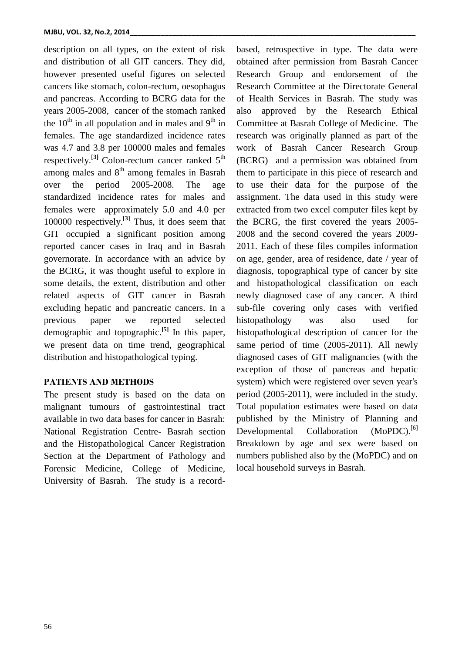description on all types, on the extent of risk and distribution of all GIT cancers. They did, however presented useful figures on selected cancers like stomach, colon-rectum, oesophagus and pancreas. According to BCRG data for the years 2005-2008, cancer of the stomach ranked the  $10<sup>th</sup>$  in all population and in males and  $9<sup>th</sup>$  in females. The age standardized incidence rates was 4.7 and 3.8 per 100000 males and females respectively.<sup>[3]</sup> Colon-rectum cancer ranked 5<sup>th</sup> among males and  $8<sup>th</sup>$  among females in Basrah over the period 2005-2008. The age standardized incidence rates for males and females were approximately 5.0 and 4.0 per 100000 respectively.**[3]** Thus, it does seem that GIT occupied a significant position among reported cancer cases in Iraq and in Basrah governorate. In accordance with an advice by the BCRG, it was thought useful to explore in some details, the extent, distribution and other related aspects of GIT cancer in Basrah excluding hepatic and pancreatic cancers. In a previous paper we reported selected demographic and topographic.**[5]** In this paper, we present data on time trend, geographical distribution and histopathological typing.

## **PATIENTS AND METHODS**

The present study is based on the data on malignant tumours of gastrointestinal tract available in two data bases for cancer in Basrah: National Registration Centre- Basrah section and the Histopathological Cancer Registration Section at the Department of Pathology and Forensic Medicine, College of Medicine, University of Basrah. The study is a recordbased, retrospective in type. The data were obtained after permission from Basrah Cancer Research Group and endorsement of the Research Committee at the Directorate General of Health Services in Basrah. The study was also approved by the Research Ethical Committee at Basrah College of Medicine. The research was originally planned as part of the work of Basrah Cancer Research Group (BCRG) and a permission was obtained from them to participate in this piece of research and to use their data for the purpose of the assignment. The data used in this study were extracted from two excel computer files kept by the BCRG, the first covered the years 2005- 2008 and the second covered the years 2009- 2011. Each of these files compiles information on age, gender, area of residence, date / year of diagnosis, topographical type of cancer by site and histopathological classification on each newly diagnosed case of any cancer. A third sub-file covering only cases with verified histopathology was also used for histopathological description of cancer for the same period of time (2005-2011). All newly diagnosed cases of GIT malignancies (with the exception of those of pancreas and hepatic system) which were registered over seven year's period (2005-2011), were included in the study. Total population estimates were based on data published by the Ministry of Planning and Developmental Collaboration (MoPDC).<sup>[6]</sup> Breakdown by age and sex were based on numbers published also by the (MoPDC) and on local household surveys in Basrah.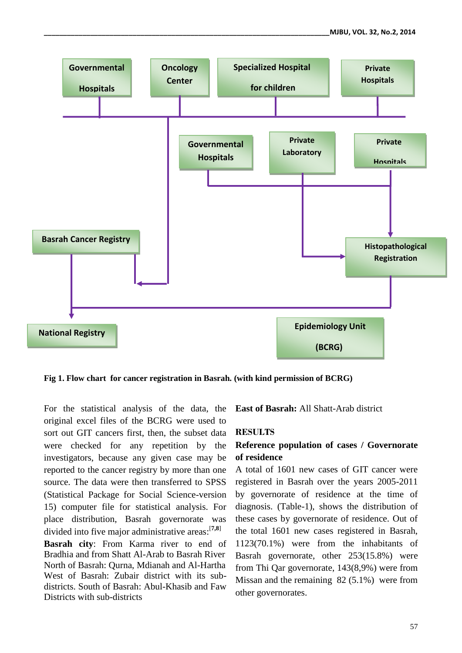

**Fig 1. Flow chart for cancer registration in Basrah. (with kind permission of BCRG)**

For the statistical analysis of the data, the original excel files of the BCRG were used to sort out GIT cancers first, then, the subset data were checked for any repetition by the investigators, because any given case may be reported to the cancer registry by more than one source. The data were then transferred to SPSS (Statistical Package for Social Science-version 15) computer file for statistical analysis. For place distribution, Basrah governorate was divided into five major administrative areas: [**7,8**]

**Basrah city**: From Karma river to end of Bradhia and from Shatt Al-Arab to Basrah River North of Basrah: Qurna, Mdianah and Al-Hartha West of Basrah: Zubair district with its subdistricts. South of Basrah: Abul-Khasib and Faw Districts with sub-districts

**East of Basrah:** All Shatt-Arab district

### **RESULTS**

# **Reference population of cases / Governorate of residence**

A total of 1601 new cases of GIT cancer were registered in Basrah over the years 2005-2011 by governorate of residence at the time of diagnosis. (Table-1), shows the distribution of these cases by governorate of residence. Out of the total 1601 new cases registered in Basrah, 1123(70.1%) were from the inhabitants of Basrah governorate, other 253(15.8%) were from Thi Qar governorate, 143(8,9%) were from Missan and the remaining 82 (5.1%) were from other governorates.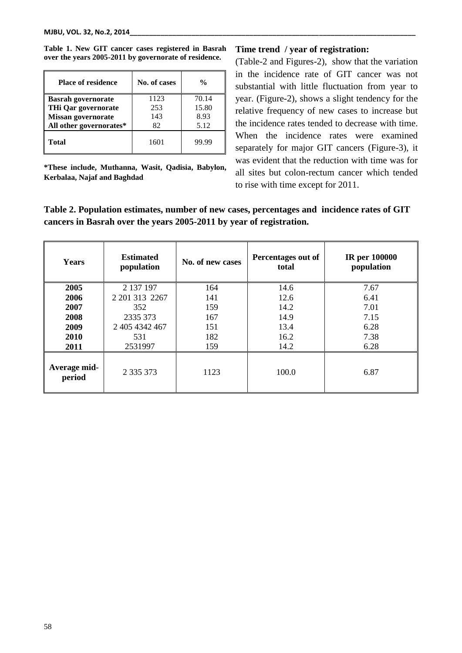| <b>Place of residence</b> | No. of cases | $\frac{0}{0}$ |
|---------------------------|--------------|---------------|
| <b>Basrah governorate</b> | 1123         | 70.14         |
| THi Qar governorate       | 253          | 15.80         |
| <b>Missan governorate</b> | 143          | 8.93          |
| All other governorates*   | 82           | 5.12          |
| <b>Total</b>              | 1601         | 99.99         |

**Table 1. New GIT cancer cases registered in Basrah over the years 2005-2011 by governorate of residence.**

**\*These include, Muthanna, Wasit, Qadisia, Babylon, Kerbalaa, Najaf and Baghdad**

### **Time trend / year of registration:**

(Table-2 and Figures-2), show that the variation in the incidence rate of GIT cancer was not substantial with little fluctuation from year to year. (Figure-2), shows a slight tendency for the relative frequency of new cases to increase but the incidence rates tended to decrease with time. When the incidence rates were examined separately for major GIT cancers (Figure-3), it was evident that the reduction with time was for all sites but colon-rectum cancer which tended to rise with time except for 2011.

# **Table 2. Population estimates, number of new cases, percentages and incidence rates of GIT cancers in Basrah over the years 2005-2011 by year of registration.**

| <b>Years</b>           | <b>Estimated</b><br>population | No. of new cases | Percentages out of<br>total | <b>IR</b> per 100000<br>population |
|------------------------|--------------------------------|------------------|-----------------------------|------------------------------------|
| 2005                   | 2 137 197                      | 164              | 14.6                        | 7.67                               |
| 2006                   | 2 201 313 2267                 | 141              | 12.6                        | 6.41                               |
| 2007                   | 352                            | 159              | 14.2                        | 7.01                               |
| 2008                   | 2335 373                       | 167              | 14.9                        | 7.15                               |
| 2009                   | 2 405 4342 467                 | 151              | 13.4                        | 6.28                               |
| 2010                   | 531                            | 182              | 16.2                        | 7.38                               |
| 2011                   | 2531997                        | 159              | 14.2                        | 6.28                               |
| Average mid-<br>period | 2 3 3 3 3 7 3                  | 1123             | 100.0                       | 6.87                               |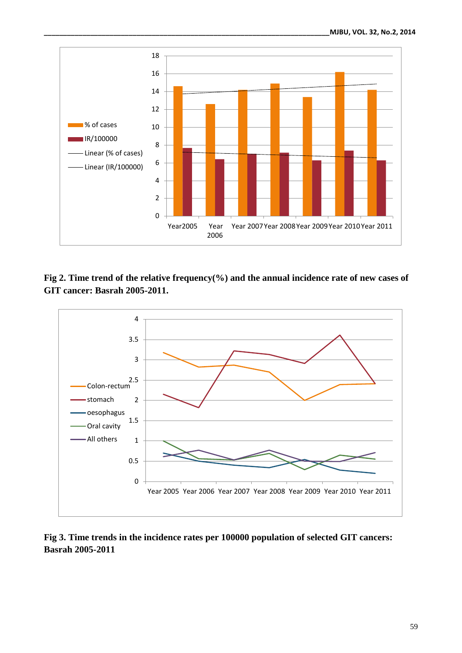

**Fig 2. Time trend of the relative frequency(%) and the annual incidence rate of new cases of GIT cancer: Basrah 2005-2011.**



**Fig 3. Time trends in the incidence rates per 100000 population of selected GIT cancers: Basrah 2005-2011**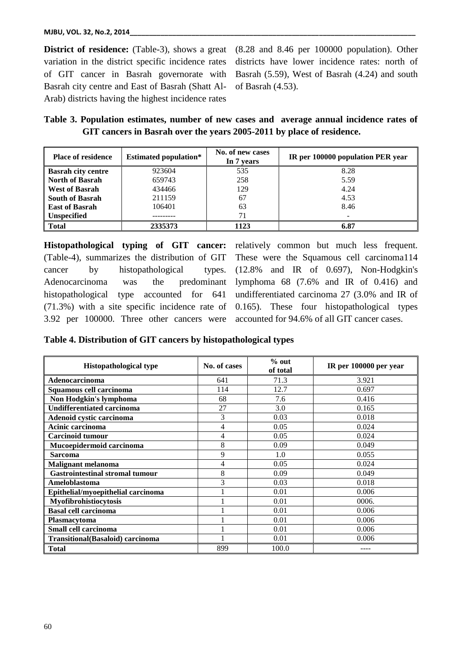**District of residence:** (Table-3), shows a great variation in the district specific incidence rates of GIT cancer in Basrah governorate with Basrah city centre and East of Basrah (Shatt Al-Arab) districts having the highest incidence rates

(8.28 and 8.46 per 100000 population). Other districts have lower incidence rates: north of Basrah (5.59), West of Basrah (4.24) and south of Basrah (4.53).

**Table 3. Population estimates, number of new cases and average annual incidence rates of GIT cancers in Basrah over the years 2005-2011 by place of residence.**

| <b>Place of residence</b> | <b>Estimated population*</b> | No. of new cases<br>In 7 years | IR per 100000 population PER year |
|---------------------------|------------------------------|--------------------------------|-----------------------------------|
| <b>Basrah city centre</b> | 923604                       | 535                            | 8.28                              |
| <b>North of Basrah</b>    | 659743                       | 258                            | 5.59                              |
| <b>West of Basrah</b>     | 434466                       | 129                            | 4.24                              |
| <b>South of Basrah</b>    | 211159                       | 67                             | 4.53                              |
| <b>East of Basrah</b>     | 106401                       | 63                             | 8.46                              |
| <b>Unspecified</b>        |                              |                                |                                   |
| <b>Total</b>              | 2335373                      | 1123                           | 6.87                              |

**Histopathological typing of GIT cancer:** (Table-4), summarizes the distribution of GIT cancer by histopathological types. Adenocarcinoma was the predominant histopathological type accounted for 641 (71.3%) with a site specific incidence rate of 3.92 per 100000. Three other cancers were relatively common but much less frequent. These were the Squamous cell carcinoma114 (12.8% and IR of 0.697), Non-Hodgkin's lymphoma 68 (7.6% and IR of 0.416) and undifferentiated carcinoma 27 (3.0% and IR of 0.165). These four histopathological types accounted for 94.6% of all GIT cancer cases.

**Table 4. Distribution of GIT cancers by histopathological types**

| <b>Histopathological type</b>            | No. of cases | $%$ out<br>of total | IR per 100000 per year |
|------------------------------------------|--------------|---------------------|------------------------|
| Adenocarcinoma                           | 641          | 71.3                | 3.921                  |
| Squamous cell carcinoma                  | 114          | 12.7                | 0.697                  |
| Non Hodgkin's lymphoma                   | 68           | 7.6                 | 0.416                  |
| <b>Undifferentiated carcinoma</b>        | 27           | 3.0                 | 0.165                  |
| Adenoid cystic carcinoma                 | 3            | 0.03                | 0.018                  |
| Acinic carcinoma                         | 4            | 0.05                | 0.024                  |
| <b>Carcinoid tumour</b>                  | 4            | 0.05                | 0.024                  |
| Mucoepidermoid carcinoma                 | 8            | 0.09                | 0.049                  |
| <b>Sarcoma</b>                           | 9            | 1.0                 | 0.055                  |
| <b>Malignant melanoma</b>                | 4            | 0.05                | 0.024                  |
| <b>Gastrointestinal stromal tumour</b>   | 8            | 0.09                | 0.049                  |
| Ameloblastoma                            | 3            | 0.03                | 0.018                  |
| Epithelial/myoepithelial carcinoma       |              | 0.01                | 0.006                  |
| Myofibrohistiocytosis                    |              | 0.01                | 0006.                  |
| <b>Basal cell carcinoma</b>              |              | 0.01                | 0.006                  |
| <b>Plasmacytoma</b>                      |              | 0.01                | 0.006                  |
| Small cell carcinoma                     |              | 0.01                | 0.006                  |
| <b>Transitional</b> (Basaloid) carcinoma |              | 0.01                | 0.006                  |
| <b>Total</b>                             | 899          | 100.0               |                        |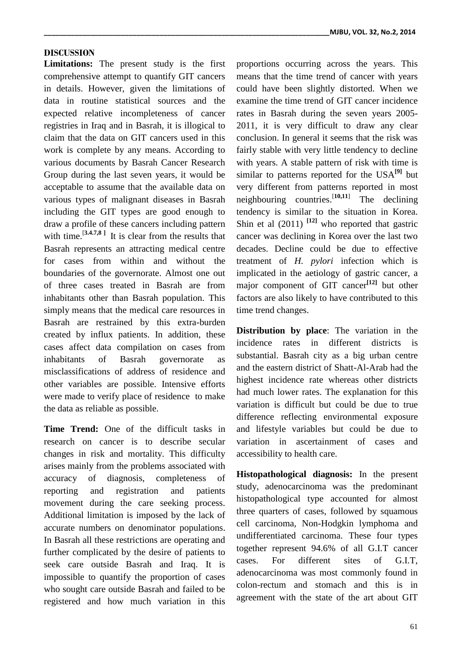## **DISCUSSION**

**Limitations:** The present study is the first comprehensive attempt to quantify GIT cancers in details. However, given the limitations of data in routine statistical sources and the expected relative incompleteness of cancer registries in Iraq and in Basrah, it is illogical to claim that the data on GIT cancers used in this work is complete by any means. According to various documents by Basrah Cancer Research Group during the last seven years, it would be acceptable to assume that the available data on various types of malignant diseases in Basrah including the GIT types are good enough to draw a profile of these cancers including pattern with time.<sup>[3,4.7,8]</sup> It is clear from the results that Basrah represents an attracting medical centre for cases from within and without the boundaries of the governorate. Almost one out of three cases treated in Basrah are from inhabitants other than Basrah population. This simply means that the medical care resources in Basrah are restrained by this extra-burden created by influx patients. In addition, these cases affect data compilation on cases from inhabitants of Basrah governorate as misclassifications of address of residence and other variables are possible. Intensive efforts were made to verify place of residence to make the data as reliable as possible.

**Time Trend:** One of the difficult tasks in research on cancer is to describe secular changes in risk and mortality. This difficulty arises mainly from the problems associated with accuracy of diagnosis, completeness of reporting and registration and patients movement during the care seeking process. Additional limitation is imposed by the lack of accurate numbers on denominator populations. In Basrah all these restrictions are operating and further complicated by the desire of patients to seek care outside Basrah and Iraq. It is impossible to quantify the proportion of cases who sought care outside Basrah and failed to be registered and how much variation in this proportions occurring across the years. This means that the time trend of cancer with years could have been slightly distorted. When we examine the time trend of GIT cancer incidence rates in Basrah during the seven years 2005- 2011, it is very difficult to draw any clear conclusion. In general it seems that the risk was fairly stable with very little tendency to decline with years. A stable pattern of risk with time is similar to patterns reported for the USA**[9]** but very different from patterns reported in most neighbouring countries.[**10,11**] The declining tendency is similar to the situation in Korea. Shin et al  $(2011)$ <sup>[12]</sup> who reported that gastric cancer was declining in Korea over the last two decades. Decline could be due to effective treatment of *H. pylori* infection which is implicated in the aetiology of gastric cancer, a major component of GIT cancer<sup>[12]</sup> but other factors are also likely to have contributed to this time trend changes.

**Distribution by place**: The variation in the incidence rates in different districts is substantial. Basrah city as a big urban centre and the eastern district of Shatt-Al-Arab had the highest incidence rate whereas other districts had much lower rates. The explanation for this variation is difficult but could be due to true difference reflecting environmental exposure and lifestyle variables but could be due to variation in ascertainment of cases and accessibility to health care.

**Histopathological diagnosis:** In the present study, adenocarcinoma was the predominant histopathological type accounted for almost three quarters of cases, followed by squamous cell carcinoma, Non-Hodgkin lymphoma and undifferentiated carcinoma. These four types together represent 94.6% of all G.I.T cancer cases. For different sites of G.I.T, adenocarcinoma was most commonly found in colon-rectum and stomach and this is in agreement with the state of the art about GIT